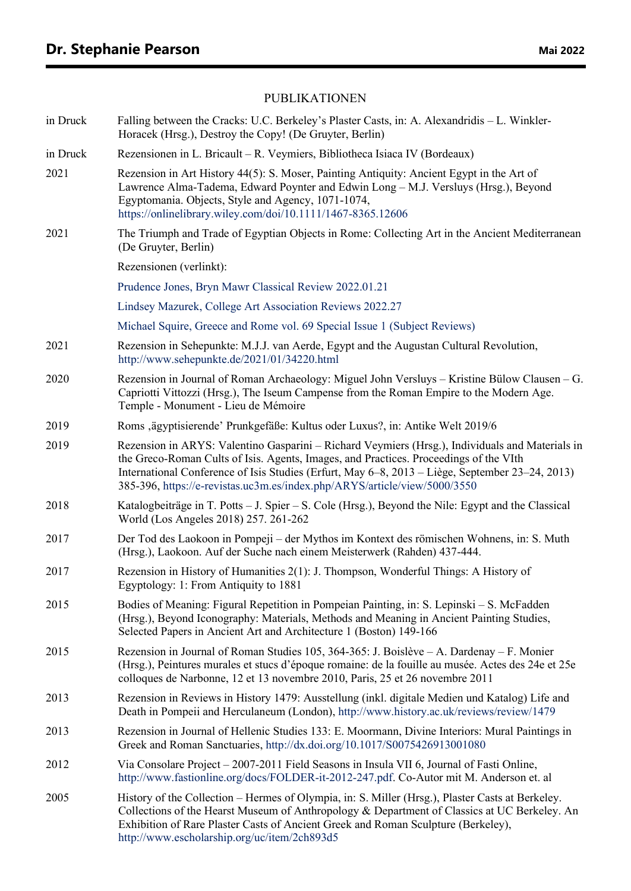## PUBLIKATIONEN

| in Druck | Falling between the Cracks: U.C. Berkeley's Plaster Casts, in: A. Alexandridis - L. Winkler-<br>Horacek (Hrsg.), Destroy the Copy! (De Gruyter, Berlin)                                                                                                                                                                                                                  |
|----------|--------------------------------------------------------------------------------------------------------------------------------------------------------------------------------------------------------------------------------------------------------------------------------------------------------------------------------------------------------------------------|
| in Druck | Rezensionen in L. Bricault – R. Veymiers, Bibliotheca Isiaca IV (Bordeaux)                                                                                                                                                                                                                                                                                               |
| 2021     | Rezension in Art History 44(5): S. Moser, Painting Antiquity: Ancient Egypt in the Art of<br>Lawrence Alma-Tadema, Edward Poynter and Edwin Long – M.J. Versluys (Hrsg.), Beyond<br>Egyptomania. Objects, Style and Agency, 1071-1074,<br>https://onlinelibrary.wiley.com/doi/10.1111/1467-8365.12606                                                                    |
| 2021     | The Triumph and Trade of Egyptian Objects in Rome: Collecting Art in the Ancient Mediterranean<br>(De Gruyter, Berlin)                                                                                                                                                                                                                                                   |
|          | Rezensionen (verlinkt):                                                                                                                                                                                                                                                                                                                                                  |
|          | Prudence Jones, Bryn Mawr Classical Review 2022.01.21                                                                                                                                                                                                                                                                                                                    |
|          | Lindsey Mazurek, College Art Association Reviews 2022.27                                                                                                                                                                                                                                                                                                                 |
|          | Michael Squire, Greece and Rome vol. 69 Special Issue 1 (Subject Reviews)                                                                                                                                                                                                                                                                                                |
| 2021     | Rezension in Sehepunkte: M.J.J. van Aerde, Egypt and the Augustan Cultural Revolution,<br>http://www.sehepunkte.de/2021/01/34220.html                                                                                                                                                                                                                                    |
| 2020     | Rezension in Journal of Roman Archaeology: Miguel John Versluys – Kristine Bülow Clausen – G.<br>Capriotti Vittozzi (Hrsg.), The Iseum Campense from the Roman Empire to the Modern Age.<br>Temple - Monument - Lieu de Mémoire                                                                                                                                          |
| 2019     | Roms ,ägyptisierende' Prunkgefäße: Kultus oder Luxus?, in: Antike Welt 2019/6                                                                                                                                                                                                                                                                                            |
| 2019     | Rezension in ARYS: Valentino Gasparini - Richard Veymiers (Hrsg.), Individuals and Materials in<br>the Greco-Roman Cults of Isis. Agents, Images, and Practices. Proceedings of the VIth<br>International Conference of Isis Studies (Erfurt, May 6–8, 2013 – Liège, September 23–24, 2013)<br>385-396, https://e-revistas.uc3m.es/index.php/ARYS/article/view/5000/3550 |
| 2018     | Katalogbeiträge in T. Potts – J. Spier – S. Cole (Hrsg.), Beyond the Nile: Egypt and the Classical<br>World (Los Angeles 2018) 257. 261-262                                                                                                                                                                                                                              |
| 2017     | Der Tod des Laokoon in Pompeji – der Mythos im Kontext des römischen Wohnens, in: S. Muth<br>(Hrsg.), Laokoon. Auf der Suche nach einem Meisterwerk (Rahden) 437-444.                                                                                                                                                                                                    |
| 2017     | Rezension in History of Humanities 2(1): J. Thompson, Wonderful Things: A History of<br>Egyptology: 1: From Antiquity to 1881                                                                                                                                                                                                                                            |
| 2015     | Bodies of Meaning: Figural Repetition in Pompeian Painting, in: S. Lepinski – S. McFadden<br>(Hrsg.), Beyond Iconography: Materials, Methods and Meaning in Ancient Painting Studies,<br>Selected Papers in Ancient Art and Architecture 1 (Boston) 149-166                                                                                                              |
| 2015     | Rezension in Journal of Roman Studies 105, 364-365: J. Boislève - A. Dardenay - F. Monier<br>(Hrsg.), Peintures murales et stucs d'époque romaine: de la fouille au musée. Actes des 24e et 25e<br>colloques de Narbonne, 12 et 13 novembre 2010, Paris, 25 et 26 novembre 2011                                                                                          |
| 2013     | Rezension in Reviews in History 1479: Ausstellung (inkl. digitale Medien und Katalog) Life and<br>Death in Pompeii and Herculaneum (London), http://www.history.ac.uk/reviews/review/1479                                                                                                                                                                                |
| 2013     | Rezension in Journal of Hellenic Studies 133: E. Moormann, Divine Interiors: Mural Paintings in<br>Greek and Roman Sanctuaries, http://dx.doi.org/10.1017/S0075426913001080                                                                                                                                                                                              |
| 2012     | Via Consolare Project – 2007-2011 Field Seasons in Insula VII 6, Journal of Fasti Online,<br>http://www.fastionline.org/docs/FOLDER-it-2012-247.pdf. Co-Autor mit M. Anderson et. al                                                                                                                                                                                     |
| 2005     | History of the Collection – Hermes of Olympia, in: S. Miller (Hrsg.), Plaster Casts at Berkeley.<br>Collections of the Hearst Museum of Anthropology & Department of Classics at UC Berkeley. An<br>Exhibition of Rare Plaster Casts of Ancient Greek and Roman Sculpture (Berkeley),<br>http://www.escholarship.org/uc/item/2ch893d5                                    |